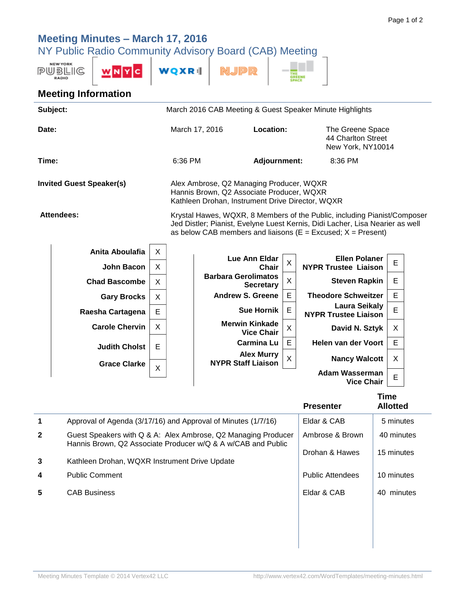## **Meeting Minutes – March 17, 2016**

NY Public Radio Community Advisory Board (CAB) Meeting

|                                                                      | <b>NEW YORK</b><br>PUBLIG |                                                                                                                                                                                                                                  | WQXR           | njpp                       |                     |                      |                                                     |                                                             |  |
|----------------------------------------------------------------------|---------------------------|----------------------------------------------------------------------------------------------------------------------------------------------------------------------------------------------------------------------------------|----------------|----------------------------|---------------------|----------------------|-----------------------------------------------------|-------------------------------------------------------------|--|
| <b>Meeting Information</b>                                           |                           |                                                                                                                                                                                                                                  |                |                            |                     |                      |                                                     |                                                             |  |
| Subject:<br>March 2016 CAB Meeting & Guest Speaker Minute Highlights |                           |                                                                                                                                                                                                                                  |                |                            |                     |                      |                                                     |                                                             |  |
| Date:                                                                |                           |                                                                                                                                                                                                                                  | March 17, 2016 |                            | Location:           |                      |                                                     | The Greene Space<br>44 Charlton Street<br>New York, NY10014 |  |
| Time:                                                                |                           |                                                                                                                                                                                                                                  | 6:36 PM        |                            | <b>Adjournment:</b> |                      | 8:36 PM                                             |                                                             |  |
| <b>Invited Guest Speaker(s)</b>                                      |                           | Alex Ambrose, Q2 Managing Producer, WQXR<br>Hannis Brown, Q2 Associate Producer, WQXR<br>Kathleen Drohan, Instrument Drive Director, WQXR                                                                                        |                |                            |                     |                      |                                                     |                                                             |  |
| <b>Attendees:</b>                                                    |                           | Krystal Hawes, WQXR, 8 Members of the Public, including Pianist/Composer<br>Jed Distler; Pianist, Evelyne Luest Kernis, Didi Lacher, Lisa Nearier as well<br>as below CAB members and liaisons ( $E = Excused$ ; $X = Present$ ) |                |                            |                     |                      |                                                     |                                                             |  |
|                                                                      | Anita Aboulafia           | X                                                                                                                                                                                                                                |                | <b>Lue Ann Eldar</b>       |                     | <b>Ellen Polaner</b> |                                                     |                                                             |  |
|                                                                      | <b>John Bacon</b>         | X                                                                                                                                                                                                                                |                |                            | Chair               | X                    | <b>NYPR Trustee Liaison</b>                         | E                                                           |  |
|                                                                      | <b>Chad Bascombe</b>      | X                                                                                                                                                                                                                                |                | <b>Barbara Gerolimatos</b> | <b>Secretary</b>    | $\mathsf X$          | <b>Steven Rapkin</b>                                | E                                                           |  |
|                                                                      | <b>Gary Brocks</b>        | X                                                                                                                                                                                                                                |                | <b>Andrew S. Greene</b>    |                     | E                    | <b>Theodore Schweitzer</b>                          | E                                                           |  |
|                                                                      | Raesha Cartagena          | E                                                                                                                                                                                                                                |                |                            | <b>Sue Hornik</b>   | E                    | <b>Laura Seikaly</b><br><b>NYPR Trustee Liaison</b> | E                                                           |  |
|                                                                      | <b>Carole Chervin</b>     | X                                                                                                                                                                                                                                |                | <b>Merwin Kinkade</b>      | <b>Vice Chair</b>   | $\sf X$              | David N. Sztyk                                      | X                                                           |  |
|                                                                      | <b>Judith Cholst</b>      | E                                                                                                                                                                                                                                |                |                            | <b>Carmina Lu</b>   | E                    | Helen van der Voort                                 | E                                                           |  |
|                                                                      | <b>Grace Clarke</b>       |                                                                                                                                                                                                                                  |                | <b>NYPR Staff Liaison</b>  | <b>Alex Murry</b>   | X                    | <b>Nancy Walcott</b>                                | X                                                           |  |
|                                                                      |                           | X                                                                                                                                                                                                                                |                |                            |                     |                      | <b>Adam Wasserman</b><br><b>Vice Chair</b>          | $\mathsf E$                                                 |  |

|              |                                                                                                                               | <b>Presenter</b>        | <b>Time</b><br><b>Allotted</b> |
|--------------|-------------------------------------------------------------------------------------------------------------------------------|-------------------------|--------------------------------|
| 1            | Approval of Agenda (3/17/16) and Approval of Minutes (1/7/16)                                                                 | Eldar & CAB             | 5 minutes                      |
| $\mathbf{2}$ | Guest Speakers with Q & A: Alex Ambrose, Q2 Managing Producer<br>Hannis Brown, Q2 Associate Producer w/Q & A w/CAB and Public | Ambrose & Brown         | 40 minutes                     |
| 3            | Kathleen Drohan, WQXR Instrument Drive Update                                                                                 | Drohan & Hawes          | 15 minutes                     |
| 4            | <b>Public Comment</b>                                                                                                         | <b>Public Attendees</b> | 10 minutes                     |
| 5            | <b>CAB Business</b>                                                                                                           | Eldar & CAB             | 40.<br>minutes                 |
|              |                                                                                                                               |                         |                                |